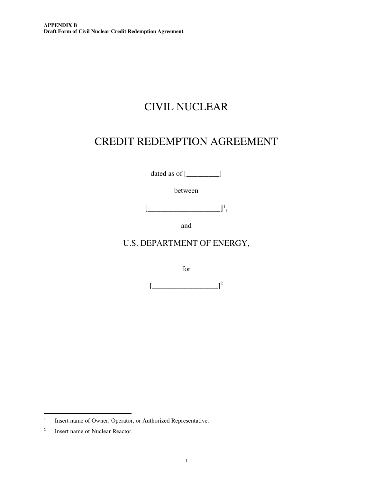# CIVIL NUCLEAR

# CREDIT REDEMPTION AGREEMENT

dated as of  $[\_$ 

between

 $\left[\frac{1}{1}, \frac{1}{1}\right]$ 

and

# U.S. DEPARTMENT OF ENERGY,

for

 $\lbrack$ 

<sup>1</sup> Insert name of Owner, Operator, or Authorized Representative.

<sup>2</sup> Insert name of Nuclear Reactor.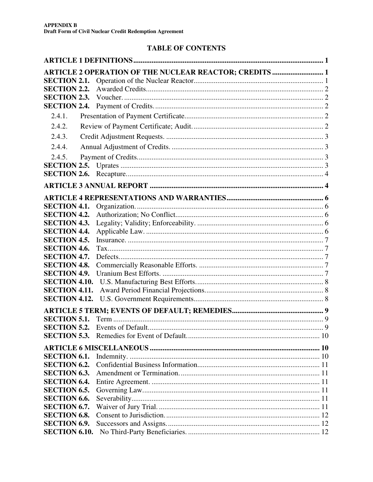# **TABLE OF CONTENTS**

|                                            | <b>ARTICLE 2 OPERATION OF THE NUCLEAR REACTOR; CREDITS  1</b> |  |
|--------------------------------------------|---------------------------------------------------------------|--|
| <b>SECTION 2.1.</b>                        |                                                               |  |
| <b>SECTION 2.2.</b>                        |                                                               |  |
| <b>SECTION 2.3.</b>                        |                                                               |  |
| <b>SECTION 2.4.</b>                        |                                                               |  |
| 2.4.1.                                     |                                                               |  |
| 2.4.2.                                     |                                                               |  |
| 2.4.3.                                     |                                                               |  |
| 2.4.4.                                     |                                                               |  |
| 2.4.5.                                     |                                                               |  |
|                                            |                                                               |  |
| <b>SECTION 2.6.</b>                        |                                                               |  |
|                                            |                                                               |  |
|                                            |                                                               |  |
| <b>SECTION 4.1.</b>                        |                                                               |  |
| <b>SECTION 4.2.</b>                        |                                                               |  |
| <b>SECTION 4.3.</b>                        |                                                               |  |
| <b>SECTION 4.4.</b>                        |                                                               |  |
| <b>SECTION 4.5.</b>                        |                                                               |  |
| <b>SECTION 4.6.</b>                        |                                                               |  |
| <b>SECTION 4.7.</b>                        |                                                               |  |
| <b>SECTION 4.8.</b>                        |                                                               |  |
| <b>SECTION 4.9.</b>                        |                                                               |  |
| <b>SECTION 4.10.</b>                       |                                                               |  |
| <b>SECTION 4.11.</b>                       |                                                               |  |
| <b>SECTION 4.12.</b>                       |                                                               |  |
|                                            |                                                               |  |
| <b>SECTION 5.1.</b>                        |                                                               |  |
| <b>SECTION 5.2.</b>                        | Events of Default<br>9                                        |  |
|                                            |                                                               |  |
|                                            |                                                               |  |
| <b>SECTION 6.1.</b>                        |                                                               |  |
| <b>SECTION 6.2.</b>                        |                                                               |  |
| <b>SECTION 6.3.</b>                        |                                                               |  |
| <b>SECTION 6.4.</b>                        |                                                               |  |
| <b>SECTION 6.5.</b>                        |                                                               |  |
| <b>SECTION 6.6.</b>                        |                                                               |  |
| <b>SECTION 6.7.</b>                        |                                                               |  |
| <b>SECTION 6.8.</b><br><b>SECTION 6.9.</b> |                                                               |  |
| <b>SECTION 6.10.</b>                       |                                                               |  |
|                                            |                                                               |  |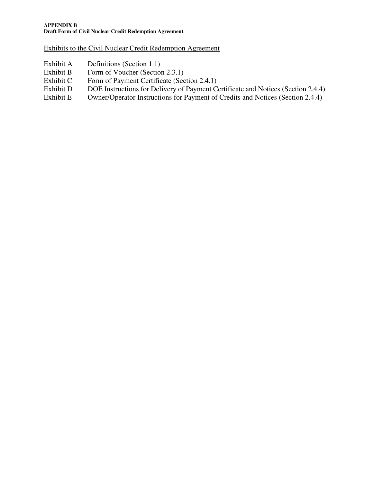Exhibits to the Civil Nuclear Credit Redemption Agreement

- Exhibit A Definitions (Section 1.1)
- Exhibit B Form of Voucher (Section 2.3.1)
- Exhibit C Form of Payment Certificate (Section 2.4.1)
- Exhibit D DOE Instructions for Delivery of Payment Certificate and Notices (Section 2.4.4)<br>Exhibit E Owner/Operator Instructions for Payment of Credits and Notices (Section 2.4.4)
- Owner/Operator Instructions for Payment of Credits and Notices (Section 2.4.4)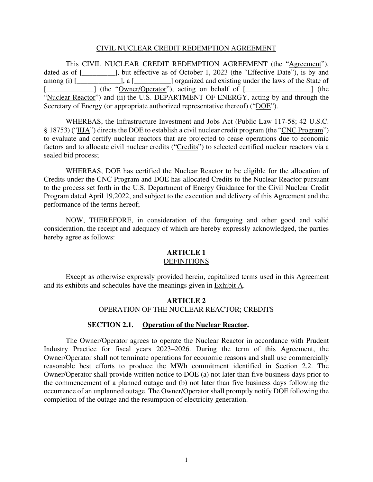#### CIVIL NUCLEAR CREDIT REDEMPTION AGREEMENT

This CIVIL NUCLEAR CREDIT REDEMPTION AGREEMENT (the "Agreement"), dated as of [\_\_\_\_\_\_\_\_\_], but effective as of October 1, 2023 (the "Effective Date"), is by and among (i) [\_\_\_\_\_\_\_\_\_\_\_\_\_], a [\_\_\_\_\_\_\_\_\_\_] organized and existing under the laws of the State of [\_\_\_\_\_\_\_\_\_\_\_\_\_\_\_\_] (the "Owner/Operator"), acting on behalf of [\_\_\_\_\_\_\_\_\_\_\_\_\_\_\_\_\_\_\_\_] (the "Nuclear Reactor") and (ii) the U.S. DEPARTMENT OF ENERGY, acting by and through the Secretary of Energy (or appropriate authorized representative thereof) ("DOE").

WHEREAS, the Infrastructure Investment and Jobs Act (Public Law 117-58; 42 U.S.C. § 18753) ("IIJA") directs the DOE to establish a civil nuclear credit program (the "CNC Program") to evaluate and certify nuclear reactors that are projected to cease operations due to economic factors and to allocate civil nuclear credits ("Credits") to selected certified nuclear reactors via a sealed bid process;

WHEREAS, DOE has certified the Nuclear Reactor to be eligible for the allocation of Credits under the CNC Program and DOE has allocated Credits to the Nuclear Reactor pursuant to the process set forth in the U.S. Department of Energy Guidance for the Civil Nuclear Credit Program dated April 19,2022, and subject to the execution and delivery of this Agreement and the performance of the terms hereof;

NOW, THEREFORE, in consideration of the foregoing and other good and valid consideration, the receipt and adequacy of which are hereby expressly acknowledged, the parties hereby agree as follows:

# **ARTICLE 1**

#### DEFINITIONS

Except as otherwise expressly provided herein, capitalized terms used in this Agreement and its exhibits and schedules have the meanings given in Exhibit A.

# **ARTICLE 2** OPERATION OF THE NUCLEAR REACTOR; CREDITS

#### **SECTION 2.1. Operation of the Nuclear Reactor.**

The Owner/Operator agrees to operate the Nuclear Reactor in accordance with Prudent Industry Practice for fiscal years 2023–2026. During the term of this Agreement, the Owner/Operator shall not terminate operations for economic reasons and shall use commercially reasonable best efforts to produce the MWh commitment identified in Section 2.2. The Owner/Operator shall provide written notice to DOE (a) not later than five business days prior to the commencement of a planned outage and (b) not later than five business days following the occurrence of an unplanned outage. The Owner/Operator shall promptly notify DOE following the completion of the outage and the resumption of electricity generation.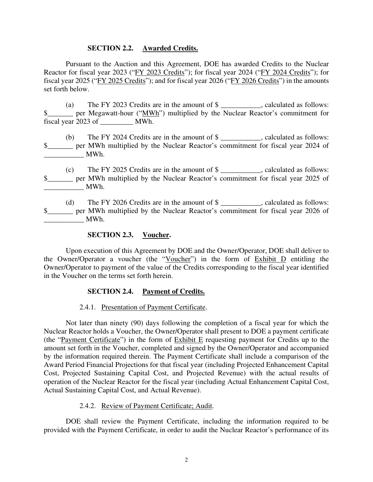#### **SECTION 2.2. Awarded Credits.**

Pursuant to the Auction and this Agreement, DOE has awarded Credits to the Nuclear Reactor for fiscal year 2023 ("FY 2023 Credits"); for fiscal year 2024 ("FY 2024 Credits"); for fiscal year 2025 ("FY 2025 Credits"); and for fiscal year 2026 ("FY 2026 Credits") in the amounts set forth below.

(a) The FY 2023 Credits are in the amount of \$ \_\_\_\_\_\_\_\_\_\_\_, calculated as follows: \$\_\_\_\_\_\_\_ per Megawatt-hour ("MWh") multiplied by the Nuclear Reactor's commitment for fiscal year 2023 of \_\_\_\_\_\_\_\_\_ MWh.

(b) The FY 2024 Credits are in the amount of \$ \_\_\_\_\_\_\_\_\_\_\_, calculated as follows: \$  $MWh.$ 

(c) The FY 2025 Credits are in the amount of \$ \_\_\_\_\_\_\_\_\_\_\_, calculated as follows: \$\_\_\_\_\_\_ per MWh multiplied by the Nuclear Reactor's commitment for fiscal year 2025 of \_\_\_\_\_\_\_\_\_\_\_ MWh.

(d) The FY 2026 Credits are in the amount of \$ \_\_\_\_\_\_\_\_\_\_\_, calculated as follows: \$ \_\_\_\_\_\_\_\_\_\_\_ MWh.

#### **SECTION 2.3. Voucher.**

Upon execution of this Agreement by DOE and the Owner/Operator, DOE shall deliver to the Owner/Operator a voucher (the "Voucher") in the form of Exhibit D entitling the Owner/Operator to payment of the value of the Credits corresponding to the fiscal year identified in the Voucher on the terms set forth herein.

#### **SECTION 2.4. Payment of Credits.**

2.4.1. Presentation of Payment Certificate.

Not later than ninety (90) days following the completion of a fiscal year for which the Nuclear Reactor holds a Voucher, the Owner/Operator shall present to DOE a payment certificate (the "Payment Certificate") in the form of Exhibit E requesting payment for Credits up to the amount set forth in the Voucher, completed and signed by the Owner/Operator and accompanied by the information required therein. The Payment Certificate shall include a comparison of the Award Period Financial Projections for that fiscal year (including Projected Enhancement Capital Cost, Projected Sustaining Capital Cost, and Projected Revenue) with the actual results of operation of the Nuclear Reactor for the fiscal year (including Actual Enhancement Capital Cost, Actual Sustaining Capital Cost, and Actual Revenue).

#### 2.4.2. Review of Payment Certificate; Audit.

DOE shall review the Payment Certificate, including the information required to be provided with the Payment Certificate, in order to audit the Nuclear Reactor's performance of its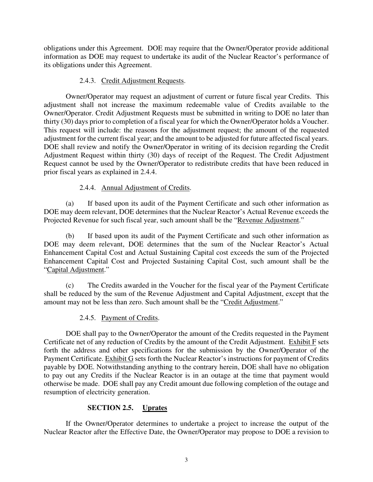obligations under this Agreement. DOE may require that the Owner/Operator provide additional information as DOE may request to undertake its audit of the Nuclear Reactor's performance of its obligations under this Agreement.

#### 2.4.3. Credit Adjustment Requests.

 Owner/Operator may request an adjustment of current or future fiscal year Credits. This adjustment shall not increase the maximum redeemable value of Credits available to the Owner/Operator. Credit Adjustment Requests must be submitted in writing to DOE no later than thirty (30) days prior to completion of a fiscal year for which the Owner/Operator holds a Voucher. This request will include: the reasons for the adjustment request; the amount of the requested adjustment for the current fiscal year; and the amount to be adjusted for future affected fiscal years. DOE shall review and notify the Owner/Operator in writing of its decision regarding the Credit Adjustment Request within thirty (30) days of receipt of the Request. The Credit Adjustment Request cannot be used by the Owner/Operator to redistribute credits that have been reduced in prior fiscal years as explained in 2.4.4.

# 2.4.4. Annual Adjustment of Credits.

(a) If based upon its audit of the Payment Certificate and such other information as DOE may deem relevant, DOE determines that the Nuclear Reactor's Actual Revenue exceeds the Projected Revenue for such fiscal year, such amount shall be the "Revenue Adjustment."

(b) If based upon its audit of the Payment Certificate and such other information as DOE may deem relevant, DOE determines that the sum of the Nuclear Reactor's Actual Enhancement Capital Cost and Actual Sustaining Capital cost exceeds the sum of the Projected Enhancement Capital Cost and Projected Sustaining Capital Cost, such amount shall be the "Capital Adjustment."

(c) The Credits awarded in the Voucher for the fiscal year of the Payment Certificate shall be reduced by the sum of the Revenue Adjustment and Capital Adjustment, except that the amount may not be less than zero. Such amount shall be the "Credit Adjustment."

2.4.5. Payment of Credits.

DOE shall pay to the Owner/Operator the amount of the Credits requested in the Payment Certificate net of any reduction of Credits by the amount of the Credit Adjustment. Exhibit F sets forth the address and other specifications for the submission by the Owner/Operator of the Payment Certificate. Exhibit G sets forth the Nuclear Reactor's instructions for payment of Credits payable by DOE. Notwithstanding anything to the contrary herein, DOE shall have no obligation to pay out any Credits if the Nuclear Reactor is in an outage at the time that payment would otherwise be made. DOE shall pay any Credit amount due following completion of the outage and resumption of electricity generation.

# **SECTION 2.5. Uprates**

If the Owner/Operator determines to undertake a project to increase the output of the Nuclear Reactor after the Effective Date, the Owner/Operator may propose to DOE a revision to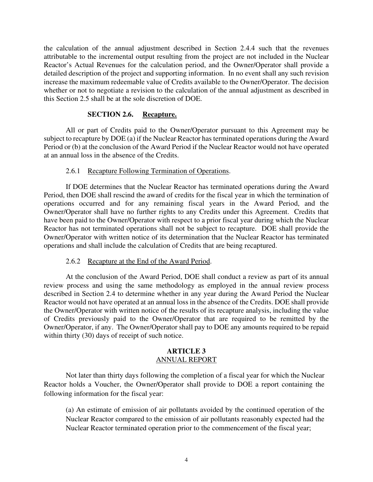the calculation of the annual adjustment described in Section 2.4.4 such that the revenues attributable to the incremental output resulting from the project are not included in the Nuclear Reactor's Actual Revenues for the calculation period, and the Owner/Operator shall provide a detailed description of the project and supporting information. In no event shall any such revision increase the maximum redeemable value of Credits available to the Owner/Operator. The decision whether or not to negotiate a revision to the calculation of the annual adjustment as described in this Section 2.5 shall be at the sole discretion of DOE.

#### **SECTION 2.6. Recapture.**

All or part of Credits paid to the Owner/Operator pursuant to this Agreement may be subject to recapture by DOE (a) if the Nuclear Reactor has terminated operations during the Award Period or (b) at the conclusion of the Award Period if the Nuclear Reactor would not have operated at an annual loss in the absence of the Credits.

#### 2.6.1 Recapture Following Termination of Operations.

If DOE determines that the Nuclear Reactor has terminated operations during the Award Period, then DOE shall rescind the award of credits for the fiscal year in which the termination of operations occurred and for any remaining fiscal years in the Award Period, and the Owner/Operator shall have no further rights to any Credits under this Agreement. Credits that have been paid to the Owner/Operator with respect to a prior fiscal year during which the Nuclear Reactor has not terminated operations shall not be subject to recapture. DOE shall provide the Owner/Operator with written notice of its determination that the Nuclear Reactor has terminated operations and shall include the calculation of Credits that are being recaptured.

#### 2.6.2 Recapture at the End of the Award Period.

At the conclusion of the Award Period, DOE shall conduct a review as part of its annual review process and using the same methodology as employed in the annual review process described in Section 2.4 to determine whether in any year during the Award Period the Nuclear Reactor would not have operated at an annual loss in the absence of the Credits. DOE shall provide the Owner/Operator with written notice of the results of its recapture analysis, including the value of Credits previously paid to the Owner/Operator that are required to be remitted by the Owner/Operator, if any. The Owner/Operator shall pay to DOE any amounts required to be repaid within thirty (30) days of receipt of such notice.

#### **ARTICLE 3** ANNUAL REPORT

 Not later than thirty days following the completion of a fiscal year for which the Nuclear Reactor holds a Voucher, the Owner/Operator shall provide to DOE a report containing the following information for the fiscal year:

(a) An estimate of emission of air pollutants avoided by the continued operation of the Nuclear Reactor compared to the emission of air pollutants reasonably expected had the Nuclear Reactor terminated operation prior to the commencement of the fiscal year;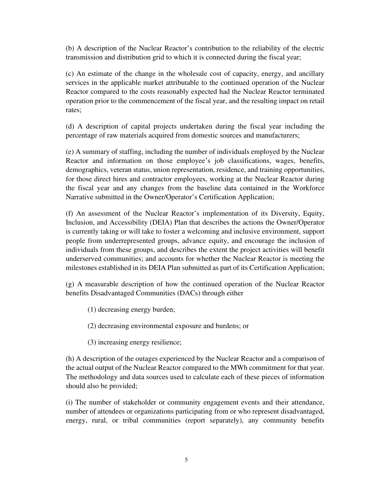(b) A description of the Nuclear Reactor's contribution to the reliability of the electric transmission and distribution grid to which it is connected during the fiscal year;

(c) An estimate of the change in the wholesale cost of capacity, energy, and ancillary services in the applicable market attributable to the continued operation of the Nuclear Reactor compared to the costs reasonably expected had the Nuclear Reactor terminated operation prior to the commencement of the fiscal year, and the resulting impact on retail rates;

(d) A description of capital projects undertaken during the fiscal year including the percentage of raw materials acquired from domestic sources and manufacturers;

(e) A summary of staffing, including the number of individuals employed by the Nuclear Reactor and information on those employee's job classifications, wages, benefits, demographics, veteran status, union representation, residence, and training opportunities, for those direct hires and contractor employees, working at the Nuclear Reactor during the fiscal year and any changes from the baseline data contained in the Workforce Narrative submitted in the Owner/Operator's Certification Application;

(f) An assessment of the Nuclear Reactor's implementation of its Diversity, Equity, Inclusion, and Accessibility (DEIA) Plan that describes the actions the Owner/Operator is currently taking or will take to foster a welcoming and inclusive environment, support people from underrepresented groups, advance equity, and encourage the inclusion of individuals from these groups, and describes the extent the project activities will benefit underserved communities; and accounts for whether the Nuclear Reactor is meeting the milestones established in its DEIA Plan submitted as part of its Certification Application;

(g) A measurable description of how the continued operation of the Nuclear Reactor benefits Disadvantaged Communities (DACs) through either

(1) decreasing energy burden;

(2) decreasing environmental exposure and burdens; or

(3) increasing energy resilience;

(h) A description of the outages experienced by the Nuclear Reactor and a comparison of the actual output of the Nuclear Reactor compared to the MWh commitment for that year. The methodology and data sources used to calculate each of these pieces of information should also be provided;

(i) The number of stakeholder or community engagement events and their attendance, number of attendees or organizations participating from or who represent disadvantaged, energy, rural, or tribal communities (report separately), any community benefits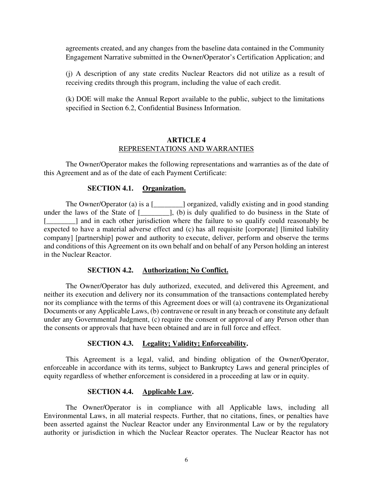agreements created, and any changes from the baseline data contained in the Community Engagement Narrative submitted in the Owner/Operator's Certification Application; and

(j) A description of any state credits Nuclear Reactors did not utilize as a result of receiving credits through this program, including the value of each credit.

(k) DOE will make the Annual Report available to the public, subject to the limitations specified in Section 6.2, Confidential Business Information.

#### **ARTICLE 4** REPRESENTATIONS AND WARRANTIES

The Owner/Operator makes the following representations and warranties as of the date of this Agreement and as of the date of each Payment Certificate:

#### **SECTION 4.1. Organization.**

The Owner/Operator (a) is a [\_\_\_\_\_\_\_\_\_] organized, validly existing and in good standing under the laws of the State of [\_\_\_\_\_\_\_\_], (b) is duly qualified to do business in the State of [\_\_\_\_\_\_\_] and in each other jurisdiction where the failure to so qualify could reasonably be expected to have a material adverse effect and (c) has all requisite [corporate] [limited liability company] [partnership] power and authority to execute, deliver, perform and observe the terms and conditions of this Agreement on its own behalf and on behalf of any Person holding an interest in the Nuclear Reactor.

#### **SECTION 4.2. Authorization; No Conflict.**

The Owner/Operator has duly authorized, executed, and delivered this Agreement, and neither its execution and delivery nor its consummation of the transactions contemplated hereby nor its compliance with the terms of this Agreement does or will (a) contravene its Organizational Documents or any Applicable Laws, (b) contravene or result in any breach or constitute any default under any Governmental Judgment, (c) require the consent or approval of any Person other than the consents or approvals that have been obtained and are in full force and effect.

#### **SECTION 4.3. Legality; Validity; Enforceability.**

This Agreement is a legal, valid, and binding obligation of the Owner/Operator, enforceable in accordance with its terms, subject to Bankruptcy Laws and general principles of equity regardless of whether enforcement is considered in a proceeding at law or in equity.

# **SECTION 4.4. Applicable Law.**

The Owner/Operator is in compliance with all Applicable laws, including all Environmental Laws, in all material respects. Further, that no citations, fines, or penalties have been asserted against the Nuclear Reactor under any Environmental Law or by the regulatory authority or jurisdiction in which the Nuclear Reactor operates. The Nuclear Reactor has not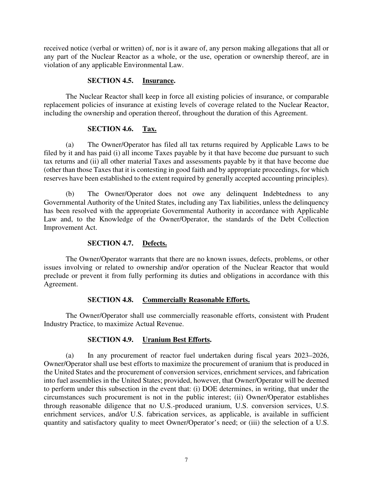received notice (verbal or written) of, nor is it aware of, any person making allegations that all or any part of the Nuclear Reactor as a whole, or the use, operation or ownership thereof, are in violation of any applicable Environmental Law.

#### **SECTION 4.5. Insurance.**

The Nuclear Reactor shall keep in force all existing policies of insurance, or comparable replacement policies of insurance at existing levels of coverage related to the Nuclear Reactor, including the ownership and operation thereof, throughout the duration of this Agreement.

#### **SECTION 4.6. Tax.**

(a) The Owner/Operator has filed all tax returns required by Applicable Laws to be filed by it and has paid (i) all income Taxes payable by it that have become due pursuant to such tax returns and (ii) all other material Taxes and assessments payable by it that have become due (other than those Taxes that it is contesting in good faith and by appropriate proceedings, for which reserves have been established to the extent required by generally accepted accounting principles).

(b) The Owner/Operator does not owe any delinquent Indebtedness to any Governmental Authority of the United States, including any Tax liabilities, unless the delinquency has been resolved with the appropriate Governmental Authority in accordance with Applicable Law and, to the Knowledge of the Owner/Operator, the standards of the Debt Collection Improvement Act.

#### **SECTION 4.7. Defects.**

The Owner/Operator warrants that there are no known issues, defects, problems, or other issues involving or related to ownership and/or operation of the Nuclear Reactor that would preclude or prevent it from fully performing its duties and obligations in accordance with this Agreement.

#### **SECTION 4.8. Commercially Reasonable Efforts.**

The Owner/Operator shall use commercially reasonable efforts, consistent with Prudent Industry Practice, to maximize Actual Revenue.

#### **SECTION 4.9. Uranium Best Efforts.**

(a) In any procurement of reactor fuel undertaken during fiscal years 2023–2026, Owner/Operator shall use best efforts to maximize the procurement of uranium that is produced in the United States and the procurement of conversion services, enrichment services, and fabrication into fuel assemblies in the United States; provided, however, that Owner/Operator will be deemed to perform under this subsection in the event that: (i) DOE determines, in writing, that under the circumstances such procurement is not in the public interest; (ii) Owner/Operator establishes through reasonable diligence that no U.S.-produced uranium, U.S. conversion services, U.S. enrichment services, and/or U.S. fabrication services, as applicable, is available in sufficient quantity and satisfactory quality to meet Owner/Operator's need; or (iii) the selection of a U.S.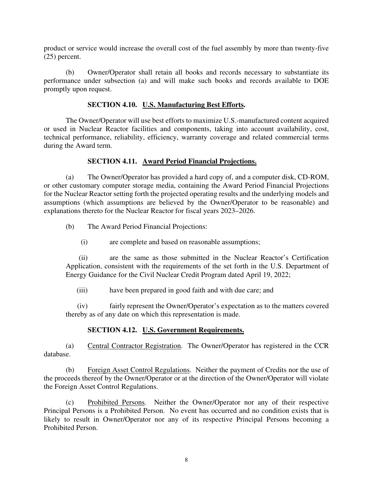product or service would increase the overall cost of the fuel assembly by more than twenty-five (25) percent.

(b) Owner/Operator shall retain all books and records necessary to substantiate its performance under subsection (a) and will make such books and records available to DOE promptly upon request.

#### **SECTION 4.10. U.S. Manufacturing Best Efforts.**

The Owner/Operator will use best efforts to maximize U.S.-manufactured content acquired or used in Nuclear Reactor facilities and components, taking into account availability, cost, technical performance, reliability, efficiency, warranty coverage and related commercial terms during the Award term.

#### **SECTION 4.11. Award Period Financial Projections.**

(a) The Owner/Operator has provided a hard copy of, and a computer disk, CD-ROM, or other customary computer storage media, containing the Award Period Financial Projections for the Nuclear Reactor setting forth the projected operating results and the underlying models and assumptions (which assumptions are believed by the Owner/Operator to be reasonable) and explanations thereto for the Nuclear Reactor for fiscal years 2023–2026.

- (b) The Award Period Financial Projections:
	- (i) are complete and based on reasonable assumptions;

(ii) are the same as those submitted in the Nuclear Reactor's Certification Application, consistent with the requirements of the set forth in the U.S. Department of Energy Guidance for the Civil Nuclear Credit Program dated April 19, 2022;

(iii) have been prepared in good faith and with due care; and

(iv) fairly represent the Owner/Operator's expectation as to the matters covered thereby as of any date on which this representation is made.

#### **SECTION 4.12. U.S. Government Requirements.**

(a) Central Contractor Registration. The Owner/Operator has registered in the CCR database.

(b) Foreign Asset Control Regulations. Neither the payment of Credits nor the use of the proceeds thereof by the Owner/Operator or at the direction of the Owner/Operator will violate the Foreign Asset Control Regulations.

(c) Prohibited Persons. Neither the Owner/Operator nor any of their respective Principal Persons is a Prohibited Person. No event has occurred and no condition exists that is likely to result in Owner/Operator nor any of its respective Principal Persons becoming a Prohibited Person.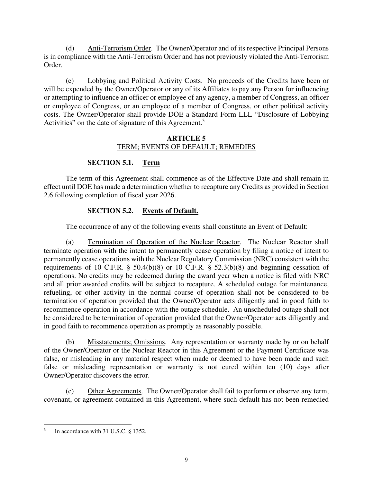(d) Anti-Terrorism Order. The Owner/Operator and of its respective Principal Persons is in compliance with the Anti-Terrorism Order and has not previously violated the Anti-Terrorism Order.

(e) Lobbying and Political Activity Costs. No proceeds of the Credits have been or will be expended by the Owner/Operator or any of its Affiliates to pay any Person for influencing or attempting to influence an officer or employee of any agency, a member of Congress, an officer or employee of Congress, or an employee of a member of Congress, or other political activity costs. The Owner/Operator shall provide DOE a Standard Form LLL "Disclosure of Lobbying Activities" on the date of signature of this Agreement.<sup>3</sup>

#### **ARTICLE 5** TERM; EVENTS OF DEFAULT; REMEDIES

# **SECTION 5.1. Term**

The term of this Agreement shall commence as of the Effective Date and shall remain in effect until DOE has made a determination whether to recapture any Credits as provided in Section 2.6 following completion of fiscal year 2026.

# **SECTION 5.2. Events of Default.**

The occurrence of any of the following events shall constitute an Event of Default:

(a) Termination of Operation of the Nuclear Reactor. The Nuclear Reactor shall terminate operation with the intent to permanently cease operation by filing a notice of intent to permanently cease operations with the Nuclear Regulatory Commission (NRC) consistent with the requirements of 10 C.F.R.  $\S$  50.4(b)(8) or 10 C.F.R.  $\S$  52.3(b)(8) and beginning cessation of operations. No credits may be redeemed during the award year when a notice is filed with NRC and all prior awarded credits will be subject to recapture. A scheduled outage for maintenance, refueling, or other activity in the normal course of operation shall not be considered to be termination of operation provided that the Owner/Operator acts diligently and in good faith to recommence operation in accordance with the outage schedule. An unscheduled outage shall not be considered to be termination of operation provided that the Owner/Operator acts diligently and in good faith to recommence operation as promptly as reasonably possible.

(b) Misstatements; Omissions. Any representation or warranty made by or on behalf of the Owner/Operator or the Nuclear Reactor in this Agreement or the Payment Certificate was false, or misleading in any material respect when made or deemed to have been made and such false or misleading representation or warranty is not cured within ten (10) days after Owner/Operator discovers the error.

(c) Other Agreements. The Owner/Operator shall fail to perform or observe any term, covenant, or agreement contained in this Agreement, where such default has not been remedied

<sup>3</sup> In accordance with 31 U.S.C. § 1352.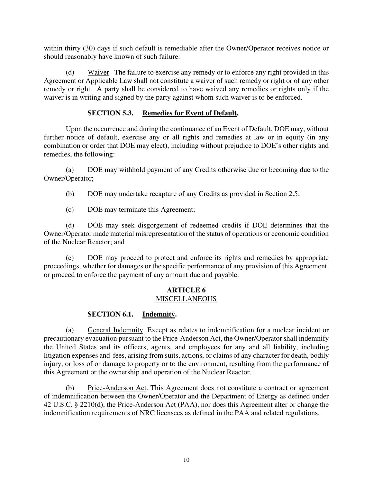within thirty (30) days if such default is remediable after the Owner/Operator receives notice or should reasonably have known of such failure.

(d) Waiver. The failure to exercise any remedy or to enforce any right provided in this Agreement or Applicable Law shall not constitute a waiver of such remedy or right or of any other remedy or right. A party shall be considered to have waived any remedies or rights only if the waiver is in writing and signed by the party against whom such waiver is to be enforced.

#### **SECTION 5.3. Remedies for Event of Default.**

Upon the occurrence and during the continuance of an Event of Default, DOE may, without further notice of default, exercise any or all rights and remedies at law or in equity (in any combination or order that DOE may elect), including without prejudice to DOE's other rights and remedies, the following:

(a) DOE may withhold payment of any Credits otherwise due or becoming due to the Owner/Operator;

(b) DOE may undertake recapture of any Credits as provided in Section 2.5;

(c) DOE may terminate this Agreement;

(d) DOE may seek disgorgement of redeemed credits if DOE determines that the Owner/Operator made material misrepresentation of the status of operations or economic condition of the Nuclear Reactor; and

(e) DOE may proceed to protect and enforce its rights and remedies by appropriate proceedings, whether for damages or the specific performance of any provision of this Agreement, or proceed to enforce the payment of any amount due and payable.

#### **ARTICLE 6 MISCELLANEOUS**

# **SECTION 6.1. Indemnity.**

(a) General Indemnity. Except as relates to indemnification for a nuclear incident or precautionary evacuation pursuant to the Price-Anderson Act, the Owner/Operator shall indemnify the United States and its officers, agents, and employees for any and all liability, including litigation expenses and fees, arising from suits, actions, or claims of any character for death, bodily injury, or loss of or damage to property or to the environment, resulting from the performance of this Agreement or the ownership and operation of the Nuclear Reactor.

(b) Price-Anderson Act. This Agreement does not constitute a contract or agreement of indemnification between the Owner/Operator and the Department of Energy as defined under 42 U.S.C. § 2210(d), the Price-Anderson Act (PAA), nor does this Agreement alter or change the indemnification requirements of NRC licensees as defined in the PAA and related regulations.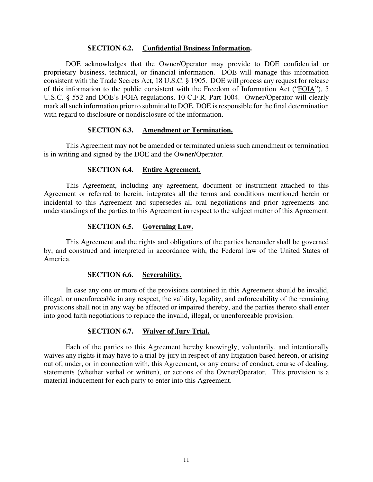#### **SECTION 6.2. Confidential Business Information.**

DOE acknowledges that the Owner/Operator may provide to DOE confidential or proprietary business, technical, or financial information. DOE will manage this information consistent with the Trade Secrets Act, 18 U.S.C. § 1905. DOE will process any request for release of this information to the public consistent with the Freedom of Information Act ("FOIA"), 5 U.S.C. § 552 and DOE's FOIA regulations, 10 C.F.R. Part 1004. Owner/Operator will clearly mark all such information prior to submittal to DOE. DOE is responsible for the final determination with regard to disclosure or nondisclosure of the information.

#### **SECTION 6.3. Amendment or Termination.**

This Agreement may not be amended or terminated unless such amendment or termination is in writing and signed by the DOE and the Owner/Operator.

#### **SECTION 6.4. Entire Agreement.**

This Agreement, including any agreement, document or instrument attached to this Agreement or referred to herein, integrates all the terms and conditions mentioned herein or incidental to this Agreement and supersedes all oral negotiations and prior agreements and understandings of the parties to this Agreement in respect to the subject matter of this Agreement.

#### **SECTION 6.5. Governing Law.**

This Agreement and the rights and obligations of the parties hereunder shall be governed by, and construed and interpreted in accordance with, the Federal law of the United States of America.

#### **SECTION 6.6. Severability.**

In case any one or more of the provisions contained in this Agreement should be invalid, illegal, or unenforceable in any respect, the validity, legality, and enforceability of the remaining provisions shall not in any way be affected or impaired thereby, and the parties thereto shall enter into good faith negotiations to replace the invalid, illegal, or unenforceable provision.

#### **SECTION 6.7. Waiver of Jury Trial.**

Each of the parties to this Agreement hereby knowingly, voluntarily, and intentionally waives any rights it may have to a trial by jury in respect of any litigation based hereon, or arising out of, under, or in connection with, this Agreement, or any course of conduct, course of dealing, statements (whether verbal or written), or actions of the Owner/Operator. This provision is a material inducement for each party to enter into this Agreement.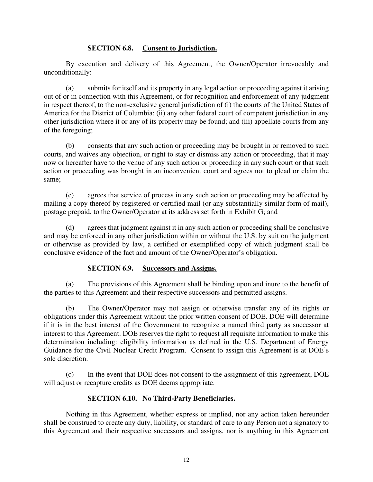#### **SECTION 6.8. Consent to Jurisdiction.**

By execution and delivery of this Agreement, the Owner/Operator irrevocably and unconditionally:

(a) submits for itself and its property in any legal action or proceeding against it arising out of or in connection with this Agreement, or for recognition and enforcement of any judgment in respect thereof, to the non-exclusive general jurisdiction of (i) the courts of the United States of America for the District of Columbia; (ii) any other federal court of competent jurisdiction in any other jurisdiction where it or any of its property may be found; and (iii) appellate courts from any of the foregoing;

(b) consents that any such action or proceeding may be brought in or removed to such courts, and waives any objection, or right to stay or dismiss any action or proceeding, that it may now or hereafter have to the venue of any such action or proceeding in any such court or that such action or proceeding was brought in an inconvenient court and agrees not to plead or claim the same;

(c) agrees that service of process in any such action or proceeding may be affected by mailing a copy thereof by registered or certified mail (or any substantially similar form of mail), postage prepaid, to the Owner/Operator at its address set forth in Exhibit G; and

(d) agrees that judgment against it in any such action or proceeding shall be conclusive and may be enforced in any other jurisdiction within or without the U.S. by suit on the judgment or otherwise as provided by law, a certified or exemplified copy of which judgment shall be conclusive evidence of the fact and amount of the Owner/Operator's obligation.

#### **SECTION 6.9. Successors and Assigns.**

(a) The provisions of this Agreement shall be binding upon and inure to the benefit of the parties to this Agreement and their respective successors and permitted assigns.

(b) The Owner/Operator may not assign or otherwise transfer any of its rights or obligations under this Agreement without the prior written consent of DOE. DOE will determine if it is in the best interest of the Government to recognize a named third party as successor at interest to this Agreement. DOE reserves the right to request all requisite information to make this determination including: eligibility information as defined in the U.S. Department of Energy Guidance for the Civil Nuclear Credit Program. Consent to assign this Agreement is at DOE's sole discretion.

(c) In the event that DOE does not consent to the assignment of this agreement, DOE will adjust or recapture credits as DOE deems appropriate.

# **SECTION 6.10. No Third-Party Beneficiaries.**

Nothing in this Agreement, whether express or implied, nor any action taken hereunder shall be construed to create any duty, liability, or standard of care to any Person not a signatory to this Agreement and their respective successors and assigns, nor is anything in this Agreement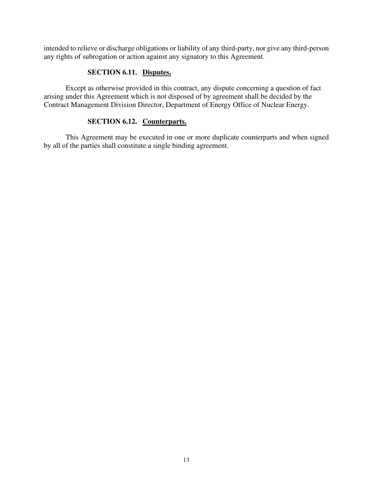intended to relieve or discharge obligations or liability of any third-party, nor give any third-person any rights of subrogation or action against any signatory to this Agreement.

#### **SECTION 6.11. Disputes.**

Except as otherwise provided in this contract, any dispute concerning a question of fact arising under this Agreement which is not disposed of by agreement shall be decided by the Contract Management Division Director, Department of Energy Office of Nuclear Energy.

#### **SECTION 6.12. Counterparts.**

This Agreement may be executed in one or more duplicate counterparts and when signed by all of the parties shall constitute a single binding agreement.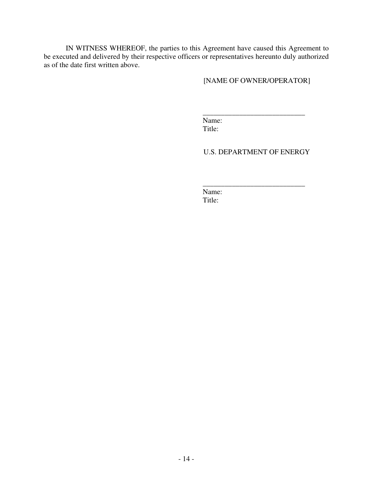IN WITNESS WHEREOF, the parties to this Agreement have caused this Agreement to be executed and delivered by their respective officers or representatives hereunto duly authorized as of the date first written above.

[NAME OF OWNER/OPERATOR]

\_\_\_\_\_\_\_\_\_\_\_\_\_\_\_\_\_\_\_\_\_\_\_\_\_\_\_\_

Name: Title:

U.S. DEPARTMENT OF ENERGY

\_\_\_\_\_\_\_\_\_\_\_\_\_\_\_\_\_\_\_\_\_\_\_\_\_\_\_\_ Name: Title: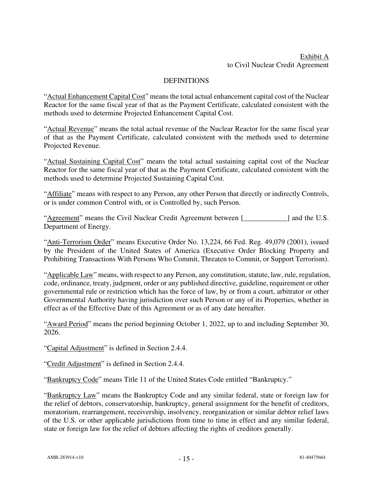# Exhibit A to Civil Nuclear Credit Agreement

#### **DEFINITIONS**

"Actual Enhancement Capital Cost" means the total actual enhancement capital cost of the Nuclear Reactor for the same fiscal year of that as the Payment Certificate, calculated consistent with the methods used to determine Projected Enhancement Capital Cost.

"Actual Revenue" means the total actual revenue of the Nuclear Reactor for the same fiscal year of that as the Payment Certificate, calculated consistent with the methods used to determine Projected Revenue.

"Actual Sustaining Capital Cost" means the total actual sustaining capital cost of the Nuclear Reactor for the same fiscal year of that as the Payment Certificate, calculated consistent with the methods used to determine Projected Sustaining Capital Cost.

"Affiliate" means with respect to any Person, any other Person that directly or indirectly Controls, or is under common Control with, or is Controlled by, such Person.

"Agreement" means the Civil Nuclear Credit Agreement between [\_\_\_\_\_\_\_\_\_\_\_\_] and the U.S. Department of Energy.

"Anti-Terrorism Order" means Executive Order No. 13,224, 66 Fed. Reg. 49,079 (2001), issued by the President of the United States of America (Executive Order Blocking Property and Prohibiting Transactions With Persons Who Commit, Threaten to Commit, or Support Terrorism).

"Applicable Law" means, with respect to any Person, any constitution, statute, law, rule, regulation, code, ordinance, treaty, judgment, order or any published directive, guideline, requirement or other governmental rule or restriction which has the force of law, by or from a court, arbitrator or other Governmental Authority having jurisdiction over such Person or any of its Properties, whether in effect as of the Effective Date of this Agreement or as of any date hereafter.

"Award Period" means the period beginning October 1, 2022, up to and including September 30, 2026.

"Capital Adjustment" is defined in Section 2.4.4.

"Credit Adjustment" is defined in Section 2.4.4.

"Bankruptcy Code" means Title 11 of the United States Code entitled "Bankruptcy."

"Bankruptcy Law" means the Bankruptcy Code and any similar federal, state or foreign law for the relief of debtors, conservatorship, bankruptcy, general assignment for the benefit of creditors, moratorium, rearrangement, receivership, insolvency, reorganization or similar debtor relief laws of the U.S. or other applicable jurisdictions from time to time in effect and any similar federal, state or foreign law for the relief of debtors affecting the rights of creditors generally.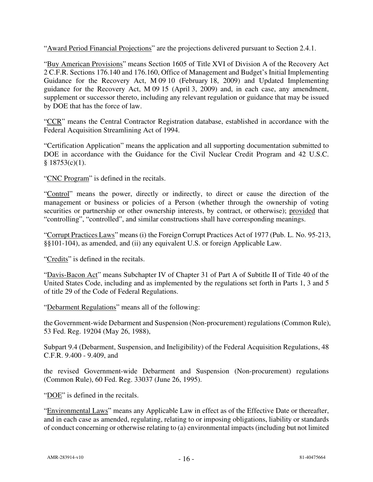"Award Period Financial Projections" are the projections delivered pursuant to Section 2.4.1.

"Buy American Provisions" means Section 1605 of Title XVI of Division A of the Recovery Act 2 C.F.R. Sections 176.140 and 176.160, Office of Management and Budget's Initial Implementing Guidance for the Recovery Act, M 09 10 (February 18, 2009) and Updated Implementing guidance for the Recovery Act, M 09 15 (April 3, 2009) and, in each case, any amendment, supplement or successor thereto, including any relevant regulation or guidance that may be issued by DOE that has the force of law.

"CCR" means the Central Contractor Registration database, established in accordance with the Federal Acquisition Streamlining Act of 1994.

"Certification Application" means the application and all supporting documentation submitted to DOE in accordance with the Guidance for the Civil Nuclear Credit Program and 42 U.S.C.  $§$  18753(c)(1).

"CNC Program" is defined in the recitals.

"Control" means the power, directly or indirectly, to direct or cause the direction of the management or business or policies of a Person (whether through the ownership of voting securities or partnership or other ownership interests, by contract, or otherwise); provided that "controlling", "controlled", and similar constructions shall have corresponding meanings.

"Corrupt Practices Laws" means (i) the Foreign Corrupt Practices Act of 1977 (Pub. L. No. 95-213, §§101-104), as amended, and (ii) any equivalent U.S. or foreign Applicable Law.

"Credits" is defined in the recitals.

"Davis-Bacon Act" means Subchapter IV of Chapter 31 of Part A of Subtitle II of Title 40 of the United States Code, including and as implemented by the regulations set forth in Parts 1, 3 and 5 of title 29 of the Code of Federal Regulations.

"Debarment Regulations" means all of the following:

the Government-wide Debarment and Suspension (Non-procurement) regulations (Common Rule), 53 Fed. Reg. 19204 (May 26, 1988),

Subpart 9.4 (Debarment, Suspension, and Ineligibility) of the Federal Acquisition Regulations, 48 C.F.R. 9.400 - 9.409, and

the revised Government-wide Debarment and Suspension (Non-procurement) regulations (Common Rule), 60 Fed. Reg. 33037 (June 26, 1995).

"DOE" is defined in the recitals.

"Environmental Laws" means any Applicable Law in effect as of the Effective Date or thereafter, and in each case as amended, regulating, relating to or imposing obligations, liability or standards of conduct concerning or otherwise relating to (a) environmental impacts (including but not limited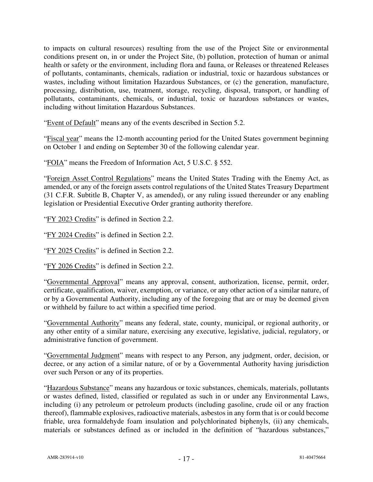to impacts on cultural resources) resulting from the use of the Project Site or environmental conditions present on, in or under the Project Site, (b) pollution, protection of human or animal health or safety or the environment, including flora and fauna, or Releases or threatened Releases of pollutants, contaminants, chemicals, radiation or industrial, toxic or hazardous substances or wastes, including without limitation Hazardous Substances, or (c) the generation, manufacture, processing, distribution, use, treatment, storage, recycling, disposal, transport, or handling of pollutants, contaminants, chemicals, or industrial, toxic or hazardous substances or wastes, including without limitation Hazardous Substances.

"Event of Default" means any of the events described in Section 5.2.

"Fiscal year" means the 12-month accounting period for the United States government beginning on October 1 and ending on September 30 of the following calendar year.

"FOIA" means the Freedom of Information Act, 5 U.S.C. § 552.

"Foreign Asset Control Regulations" means the United States Trading with the Enemy Act, as amended, or any of the foreign assets control regulations of the United States Treasury Department (31 C.F.R. Subtitle B, Chapter V, as amended), or any ruling issued thereunder or any enabling legislation or Presidential Executive Order granting authority therefore.

"FY 2023 Credits" is defined in Section 2.2.

"FY 2024 Credits" is defined in Section 2.2.

"FY 2025 Credits" is defined in Section 2.2.

"FY 2026 Credits" is defined in Section 2.2.

"Governmental Approval" means any approval, consent, authorization, license, permit, order, certificate, qualification, waiver, exemption, or variance, or any other action of a similar nature, of or by a Governmental Authority, including any of the foregoing that are or may be deemed given or withheld by failure to act within a specified time period.

"Governmental Authority" means any federal, state, county, municipal, or regional authority, or any other entity of a similar nature, exercising any executive, legislative, judicial, regulatory, or administrative function of government.

"Governmental Judgment" means with respect to any Person, any judgment, order, decision, or decree, or any action of a similar nature, of or by a Governmental Authority having jurisdiction over such Person or any of its properties.

"Hazardous Substance" means any hazardous or toxic substances, chemicals, materials, pollutants or wastes defined, listed, classified or regulated as such in or under any Environmental Laws, including (i) any petroleum or petroleum products (including gasoline, crude oil or any fraction thereof), flammable explosives, radioactive materials, asbestos in any form that is or could become friable, urea formaldehyde foam insulation and polychlorinated biphenyls, (ii) any chemicals, materials or substances defined as or included in the definition of "hazardous substances,"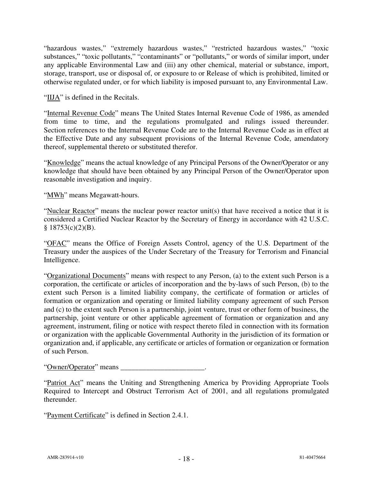"hazardous wastes," "extremely hazardous wastes," "restricted hazardous wastes," "toxic substances," "toxic pollutants," "contaminants" or "pollutants," or words of similar import, under any applicable Environmental Law and (iii) any other chemical, material or substance, import, storage, transport, use or disposal of, or exposure to or Release of which is prohibited, limited or otherwise regulated under, or for which liability is imposed pursuant to, any Environmental Law.

"IIJA" is defined in the Recitals.

"Internal Revenue Code" means The United States Internal Revenue Code of 1986, as amended from time to time, and the regulations promulgated and rulings issued thereunder. Section references to the Internal Revenue Code are to the Internal Revenue Code as in effect at the Effective Date and any subsequent provisions of the Internal Revenue Code, amendatory thereof, supplemental thereto or substituted therefor.

"Knowledge" means the actual knowledge of any Principal Persons of the Owner/Operator or any knowledge that should have been obtained by any Principal Person of the Owner/Operator upon reasonable investigation and inquiry.

"MWh" means Megawatt-hours.

"Nuclear Reactor" means the nuclear power reactor unit(s) that have received a notice that it is considered a Certified Nuclear Reactor by the Secretary of Energy in accordance with 42 U.S.C.  $§ 18753(c)(2)(B).$ 

"OFAC" means the Office of Foreign Assets Control, agency of the U.S. Department of the Treasury under the auspices of the Under Secretary of the Treasury for Terrorism and Financial Intelligence.

"Organizational Documents" means with respect to any Person, (a) to the extent such Person is a corporation, the certificate or articles of incorporation and the by-laws of such Person, (b) to the extent such Person is a limited liability company, the certificate of formation or articles of formation or organization and operating or limited liability company agreement of such Person and (c) to the extent such Person is a partnership, joint venture, trust or other form of business, the partnership, joint venture or other applicable agreement of formation or organization and any agreement, instrument, filing or notice with respect thereto filed in connection with its formation or organization with the applicable Governmental Authority in the jurisdiction of its formation or organization and, if applicable, any certificate or articles of formation or organization or formation of such Person.

"Owner/Operator" means \_\_\_\_\_\_\_\_\_\_\_\_\_\_\_\_\_\_\_\_\_\_\_.

"Patriot Act" means the Uniting and Strengthening America by Providing Appropriate Tools Required to Intercept and Obstruct Terrorism Act of 2001, and all regulations promulgated thereunder.

"Payment Certificate" is defined in Section 2.4.1.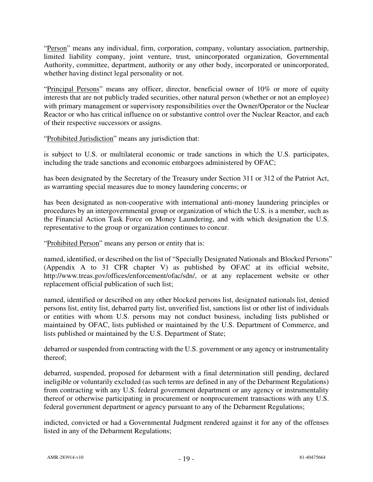"Person" means any individual, firm, corporation, company, voluntary association, partnership, limited liability company, joint venture, trust, unincorporated organization, Governmental Authority, committee, department, authority or any other body, incorporated or unincorporated, whether having distinct legal personality or not.

"Principal Persons" means any officer, director, beneficial owner of 10% or more of equity interests that are not publicly traded securities, other natural person (whether or not an employee) with primary management or supervisory responsibilities over the Owner/Operator or the Nuclear Reactor or who has critical influence on or substantive control over the Nuclear Reactor, and each of their respective successors or assigns.

"Prohibited Jurisdiction" means any jurisdiction that:

is subject to U.S. or multilateral economic or trade sanctions in which the U.S. participates, including the trade sanctions and economic embargoes administered by OFAC;

has been designated by the Secretary of the Treasury under Section 311 or 312 of the Patriot Act, as warranting special measures due to money laundering concerns; or

has been designated as non-cooperative with international anti-money laundering principles or procedures by an intergovernmental group or organization of which the U.S. is a member, such as the Financial Action Task Force on Money Laundering, and with which designation the U.S. representative to the group or organization continues to concur.

"Prohibited Person" means any person or entity that is:

named, identified, or described on the list of "Specially Designated Nationals and Blocked Persons" (Appendix A to 31 CFR chapter V) as published by OFAC at its official website, http://www.treas.gov/offices/enforcement/ofac/sdn/, or at any replacement website or other replacement official publication of such list;

named, identified or described on any other blocked persons list, designated nationals list, denied persons list, entity list, debarred party list, unverified list, sanctions list or other list of individuals or entities with whom U.S. persons may not conduct business, including lists published or maintained by OFAC, lists published or maintained by the U.S. Department of Commerce, and lists published or maintained by the U.S. Department of State;

debarred or suspended from contracting with the U.S. government or any agency or instrumentality thereof;

debarred, suspended, proposed for debarment with a final determination still pending, declared ineligible or voluntarily excluded (as such terms are defined in any of the Debarment Regulations) from contracting with any U.S. federal government department or any agency or instrumentality thereof or otherwise participating in procurement or nonprocurement transactions with any U.S. federal government department or agency pursuant to any of the Debarment Regulations;

indicted, convicted or had a Governmental Judgment rendered against it for any of the offenses listed in any of the Debarment Regulations;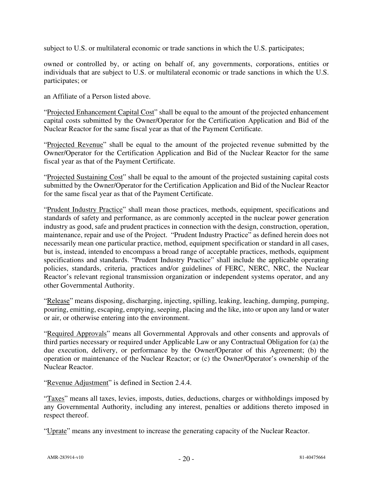subject to U.S. or multilateral economic or trade sanctions in which the U.S. participates;

owned or controlled by, or acting on behalf of, any governments, corporations, entities or individuals that are subject to U.S. or multilateral economic or trade sanctions in which the U.S. participates; or

an Affiliate of a Person listed above.

"Projected Enhancement Capital Cost" shall be equal to the amount of the projected enhancement capital costs submitted by the Owner/Operator for the Certification Application and Bid of the Nuclear Reactor for the same fiscal year as that of the Payment Certificate.

"Projected Revenue" shall be equal to the amount of the projected revenue submitted by the Owner/Operator for the Certification Application and Bid of the Nuclear Reactor for the same fiscal year as that of the Payment Certificate.

"Projected Sustaining Cost" shall be equal to the amount of the projected sustaining capital costs submitted by the Owner/Operator for the Certification Application and Bid of the Nuclear Reactor for the same fiscal year as that of the Payment Certificate.

"Prudent Industry Practice" shall mean those practices, methods, equipment, specifications and standards of safety and performance, as are commonly accepted in the nuclear power generation industry as good, safe and prudent practices in connection with the design, construction, operation, maintenance, repair and use of the Project. "Prudent Industry Practice" as defined herein does not necessarily mean one particular practice, method, equipment specification or standard in all cases, but is, instead, intended to encompass a broad range of acceptable practices, methods, equipment specifications and standards. "Prudent Industry Practice" shall include the applicable operating policies, standards, criteria, practices and/or guidelines of FERC, NERC, NRC, the Nuclear Reactor's relevant regional transmission organization or independent systems operator, and any other Governmental Authority.

"Release" means disposing, discharging, injecting, spilling, leaking, leaching, dumping, pumping, pouring, emitting, escaping, emptying, seeping, placing and the like, into or upon any land or water or air, or otherwise entering into the environment.

"Required Approvals" means all Governmental Approvals and other consents and approvals of third parties necessary or required under Applicable Law or any Contractual Obligation for (a) the due execution, delivery, or performance by the Owner/Operator of this Agreement; (b) the operation or maintenance of the Nuclear Reactor; or (c) the Owner/Operator's ownership of the Nuclear Reactor.

"Revenue Adjustment" is defined in Section 2.4.4.

"Taxes" means all taxes, levies, imposts, duties, deductions, charges or withholdings imposed by any Governmental Authority, including any interest, penalties or additions thereto imposed in respect thereof.

"Uprate" means any investment to increase the generating capacity of the Nuclear Reactor.